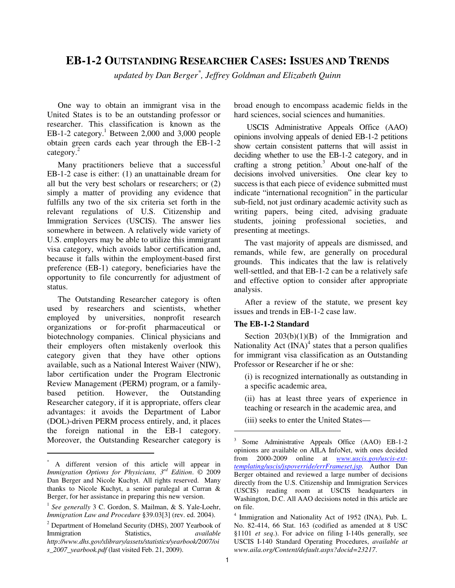# **EB-1-2 OUTSTANDING RESEARCHER CASES: ISSUES AND TRENDS**

*updated by Dan Berger\* , Jeffrey Goldman and Elizabeth Quinn* 

One way to obtain an immigrant visa in the United States is to be an outstanding professor or researcher. This classification is known as the EB-1-2 category.<sup>1</sup> Between 2,000 and 3,000 people obtain green cards each year through the EB-1-2 category.<sup>2</sup>

Many practitioners believe that a successful EB-1-2 case is either: (1) an unattainable dream for all but the very best scholars or researchers; or (2) simply a matter of providing any evidence that fulfills any two of the six criteria set forth in the relevant regulations of U.S. Citizenship and Immigration Services (USCIS). The answer lies somewhere in between. A relatively wide variety of U.S. employers may be able to utilize this immigrant visa category, which avoids labor certification and, because it falls within the employment-based first preference (EB-1) category, beneficiaries have the opportunity to file concurrently for adjustment of status.

The Outstanding Researcher category is often used by researchers and scientists, whether employed by universities, nonprofit research organizations or for-profit pharmaceutical or biotechnology companies. Clinical physicians and their employers often mistakenly overlook this category given that they have other options available, such as a National Interest Waiver (NIW), labor certification under the Program Electronic Review Management (PERM) program, or a familybased petition. However, the Outstanding Researcher category, if it is appropriate, offers clear advantages: it avoids the Department of Labor (DOL)-driven PERM process entirely, and, it places the foreign national in the EB-1 category. Moreover, the Outstanding Researcher category is

 $\overline{a}$ 

broad enough to encompass academic fields in the hard sciences, social sciences and humanities.

USCIS Administrative Appeals Office (AAO) opinions involving appeals of denied EB-1-2 petitions show certain consistent patterns that will assist in deciding whether to use the EB-1-2 category, and in crafting a strong petition.<sup>3</sup> About one-half of the decisions involved universities. One clear key to success is that each piece of evidence submitted must indicate "international recognition" in the particular sub-field, not just ordinary academic activity such as writing papers, being cited, advising graduate students, joining professional societies, and presenting at meetings.

The vast majority of appeals are dismissed, and remands, while few, are generally on procedural grounds. This indicates that the law is relatively well-settled, and that EB-1-2 can be a relatively safe and effective option to consider after appropriate analysis.

After a review of the statute, we present key issues and trends in EB-1-2 case law.

# **The EB-1-2 Standard**

Section  $203(b)(1)(B)$  of the Immigration and Nationality Act  $(INA)^4$  states that a person qualifies for immigrant visa classification as an Outstanding Professor or Researcher if he or she:

(i) is recognized internationally as outstanding in a specific academic area,

(ii) has at least three years of experience in teaching or research in the academic area, and

(iii) seeks to enter the United States—

<sup>\*</sup> A different version of this article will appear in *Immigration Options for Physicians, 3rd Edition*. © 2009 Dan Berger and Nicole Kuchyt. All rights reserved. Many thanks to Nicole Kuchyt, a senior paralegal at Curran & Berger, for her assistance in preparing this new version.

<sup>&</sup>lt;sup>1</sup> See generally 3 C. Gordon, S. Mailman, & S. Yale-Loehr, *Immigration Law and Procedure* §39.03[3] (rev. ed. 2004).

<sup>&</sup>lt;sup>2</sup> Department of Homeland Security (DHS), 2007 Yearbook of Immigration Statistics, *available http://www.dhs.gov/xlibrary/assets/statistics/yearbook/2007/oi s\_2007\_yearbook.pdf* (last visited Feb. 21, 2009).

<sup>3</sup> Some Administrative Appeals Office (AAO) EB-1-2 opinions are available on AILA InfoNet, with ones decided from 2000-2009 online at *www.uscis.gov/uscis-exttemplating/uscis/jspoverride/errFrameset.jsp.* Author Dan Berger obtained and reviewed a large number of decisions directly from the U.S. Citizenship and Immigration Services (USCIS) reading room at USCIS headquarters in Washington, D.C. All AAO decisions noted in this article are on file.

<sup>4</sup> Immigration and Nationality Act of 1952 (INA), Pub. L. No. 82-414, 66 Stat. 163 (codified as amended at 8 USC §1101 *et seq*.). For advice on filing I-140s generally, see USCIS I-140 Standard Operating Procedures, *available at www.aila.org/Content/default.aspx?docid=23217*.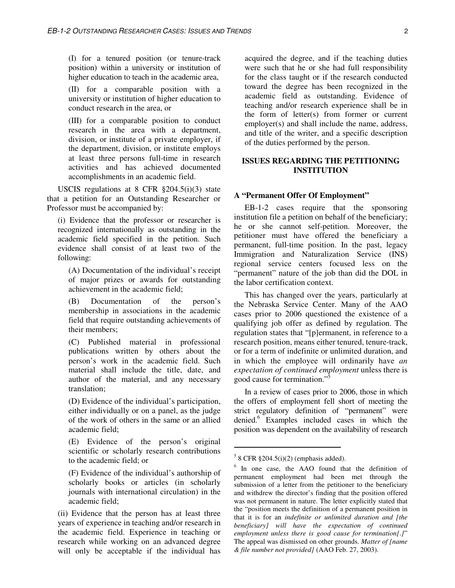(I) for a tenured position (or tenure-track position) within a university or institution of higher education to teach in the academic area,

(II) for a comparable position with a university or institution of higher education to conduct research in the area, or

(III) for a comparable position to conduct research in the area with a department, division, or institute of a private employer, if the department, division, or institute employs at least three persons full-time in research activities and has achieved documented accomplishments in an academic field.

USCIS regulations at 8 CFR §204.5(i)(3) state that a petition for an Outstanding Researcher or Professor must be accompanied by:

(i) Evidence that the professor or researcher is recognized internationally as outstanding in the academic field specified in the petition. Such evidence shall consist of at least two of the following:

(A) Documentation of the individual's receipt of major prizes or awards for outstanding achievement in the academic field;

(B) Documentation of the person's membership in associations in the academic field that require outstanding achievements of their members;

(C) Published material in professional publications written by others about the person's work in the academic field. Such material shall include the title, date, and author of the material, and any necessary translation;

(D) Evidence of the individual's participation, either individually or on a panel, as the judge of the work of others in the same or an allied academic field;

(E) Evidence of the person's original scientific or scholarly research contributions to the academic field; or

(F) Evidence of the individual's authorship of scholarly books or articles (in scholarly journals with international circulation) in the academic field;

(ii) Evidence that the person has at least three years of experience in teaching and/or research in the academic field. Experience in teaching or research while working on an advanced degree will only be acceptable if the individual has

acquired the degree, and if the teaching duties were such that he or she had full responsibility for the class taught or if the research conducted toward the degree has been recognized in the academic field as outstanding. Evidence of teaching and/or research experience shall be in the form of letter(s) from former or current employer(s) and shall include the name, address, and title of the writer, and a specific description of the duties performed by the person.

# **ISSUES REGARDING THE PETITIONING INSTITUTION**

#### **A "Permanent Offer Of Employment"**

EB-1-2 cases require that the sponsoring institution file a petition on behalf of the beneficiary; he or she cannot self-petition. Moreover, the petitioner must have offered the beneficiary a permanent, full-time position. In the past, legacy Immigration and Naturalization Service (INS) regional service centers focused less on the "permanent" nature of the job than did the DOL in the labor certification context.

This has changed over the years, particularly at the Nebraska Service Center. Many of the AAO cases prior to 2006 questioned the existence of a qualifying job offer as defined by regulation. The regulation states that "[p]ermanent, in reference to a research position, means either tenured, tenure-track, or for a term of indefinite or unlimited duration, and in which the employee will ordinarily have *an expectation of continued employment* unless there is good cause for termination."<sup>5</sup>

In a review of cases prior to 2006, those in which the offers of employment fell short of meeting the strict regulatory definition of "permanent" were denied.<sup>6</sup> Examples included cases in which the position was dependent on the availability of research

<u>.</u>

 $58$  CFR  $\S 204.5(i)(2)$  (emphasis added).

<sup>&</sup>lt;sup>6</sup> In one case, the AAO found that the definition of permanent employment had been met through the submission of a letter from the petitioner to the beneficiary and withdrew the director's finding that the position offered was not permanent in nature. The letter explicitly stated that the "position meets the definition of a permanent position in that it is for an *indefinite or unlimited duration and [the beneficiary] will have the expectation of continued employment unless there is good cause for termination[*.*]*" The appeal was dismissed on other grounds. *Matter of [name & file number not provided]* (AAO Feb. 27, 2003).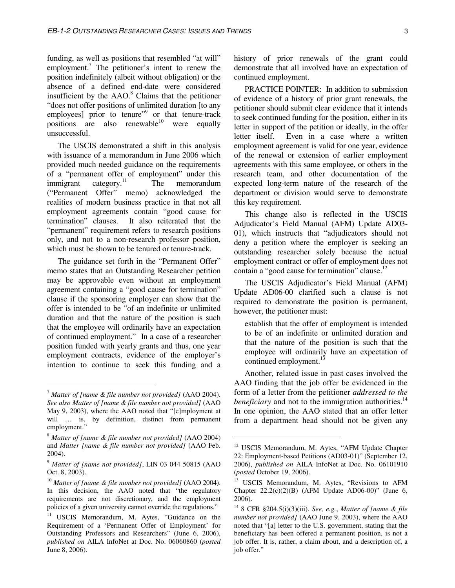funding, as well as positions that resembled "at will" employment.<sup>7</sup> The petitioner's intent to renew the position indefinitely (albeit without obligation) or the absence of a defined end-date were considered insufficient by the  $AAO$ .<sup>8</sup> Claims that the petitioner "does not offer positions of unlimited duration [to any employees] prior to tenure"<sup>9</sup> or that tenure-track positions are also renewable $10$  were equally unsuccessful.

The USCIS demonstrated a shift in this analysis with issuance of a memorandum in June 2006 which provided much needed guidance on the requirements of a "permanent offer of employment" under this immigrant category.<sup>11</sup> The memorandum ("Permanent Offer" memo) acknowledged the realities of modern business practice in that not all employment agreements contain "good cause for termination" clauses. It also reiterated that the "permanent" requirement refers to research positions only, and not to a non-research professor position, which must be shown to be tenured or tenure-track.

The guidance set forth in the "Permanent Offer" memo states that an Outstanding Researcher petition may be approvable even without an employment agreement containing a "good cause for termination" clause if the sponsoring employer can show that the offer is intended to be "of an indefinite or unlimited duration and that the nature of the position is such that the employee will ordinarily have an expectation of continued employment." In a case of a researcher position funded with yearly grants and thus, one year employment contracts, evidence of the employer's intention to continue to seek this funding and a

 $\overline{a}$ 

history of prior renewals of the grant could demonstrate that all involved have an expectation of continued employment.

PRACTICE POINTER: In addition to submission of evidence of a history of prior grant renewals, the petitioner should submit clear evidence that it intends to seek continued funding for the position, either in its letter in support of the petition or ideally, in the offer letter itself. Even in a case where a written employment agreement is valid for one year, evidence of the renewal or extension of earlier employment agreements with this same employee, or others in the research team, and other documentation of the expected long-term nature of the research of the department or division would serve to demonstrate this key requirement.

This change also is reflected in the USCIS Adjudicator's Field Manual (AFM) Update AD03- 01), which instructs that "adjudicators should not deny a petition where the employer is seeking an outstanding researcher solely because the actual employment contract or offer of employment does not contain a "good cause for termination" clause.<sup>12</sup>

The USCIS Adjudicator's Field Manual (AFM) Update AD06-00 clarified such a clause is not required to demonstrate the position is permanent, however, the petitioner must:

establish that the offer of employment is intended to be of an indefinite or unlimited duration and that the nature of the position is such that the employee will ordinarily have an expectation of continued employment.<sup>13</sup>

Another, related issue in past cases involved the AAO finding that the job offer be evidenced in the form of a letter from the petitioner *addressed to the beneficiary* and not to the immigration authorities.<sup>14</sup> In one opinion, the AAO stated that an offer letter from a department head should not be given any

<sup>7</sup> *Matter of [name & file number not provided]* (AAO 2004). *See also Matter of [name & file number not provided]* (AAO May 9, 2003), where the AAO noted that "[e]mployment at will … is, by definition, distinct from permanent employment."

<sup>8</sup> *Matter of [name & file number not provided]* (AAO 2004) and *Matter [name & file number not provided]* (AAO Feb. 2004).

<sup>9</sup> *Matter of [name not provided]*, LIN 03 044 50815 (AAO Oct. 8, 2003).

<sup>10</sup> *Matter of [name & file number not provided]* (AAO 2004). In this decision, the AAO noted that "the regulatory requirements are not discretionary, and the employment policies of a given university cannot override the regulations."

<sup>&</sup>lt;sup>11</sup> USCIS Memorandum, M. Aytes, "Guidance on the Requirement of a 'Permanent Offer of Employment' for Outstanding Professors and Researchers" (June 6, 2006), *published on* AILA InfoNet at Doc. No. 06060860 (*posted* June 8, 2006).

<sup>&</sup>lt;sup>12</sup> USCIS Memorandum, M. Aytes, "AFM Update Chapter 22: Employment-based Petitions (AD03-01)" (September 12, 2006), *published on* AILA InfoNet at Doc. No. 06101910 (*posted* October 19, 2006).

<sup>&</sup>lt;sup>13</sup> USCIS Memorandum, M. Aytes, "Revisions to AFM Chapter  $22.2(c)(2)(B)$  (AFM Update AD06-00)" (June 6, 2006).

<sup>14</sup> 8 CFR §204.5(i)(3)(iii). *See, e.g.*, *Matter of [name & file number not provided]* (AAO June 9, 2003), where the AAO noted that "[a] letter to the U.S. government, stating that the beneficiary has been offered a permanent position, is not a job offer. It is, rather, a claim about, and a description of, a job offer."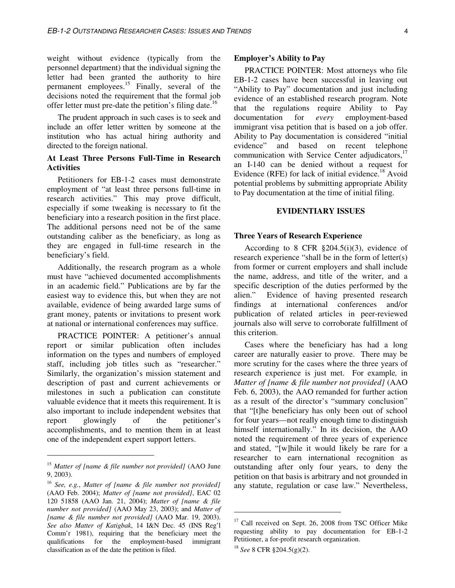weight without evidence (typically from the personnel department) that the individual signing the letter had been granted the authority to hire permanent employees.<sup>15</sup> Finally, several of the decisions noted the requirement that the formal job offer letter must pre-date the petition's filing date.<sup>16</sup>

The prudent approach in such cases is to seek and include an offer letter written by someone at the institution who has actual hiring authority and directed to the foreign national.

# **At Least Three Persons Full-Time in Research Activities**

Petitioners for EB-1-2 cases must demonstrate employment of "at least three persons full-time in research activities." This may prove difficult, especially if some tweaking is necessary to fit the beneficiary into a research position in the first place. The additional persons need not be of the same outstanding caliber as the beneficiary, as long as they are engaged in full-time research in the beneficiary's field.

Additionally, the research program as a whole must have "achieved documented accomplishments in an academic field." Publications are by far the easiest way to evidence this, but when they are not available, evidence of being awarded large sums of grant money, patents or invitations to present work at national or international conferences may suffice.

PRACTICE POINTER: A petitioner's annual report or similar publication often includes information on the types and numbers of employed staff, including job titles such as "researcher." Similarly, the organization's mission statement and description of past and current achievements or milestones in such a publication can constitute valuable evidence that it meets this requirement. It is also important to include independent websites that report glowingly of the petitioner's accomplishments, and to mention them in at least one of the independent expert support letters.

 $\overline{a}$ 

#### **Employer's Ability to Pay**

PRACTICE POINTER: Most attorneys who file EB-1-2 cases have been successful in leaving out "Ability to Pay" documentation and just including evidence of an established research program. Note that the regulations require Ability to Pay documentation for *every* employment-based immigrant visa petition that is based on a job offer. Ability to Pay documentation is considered "initial evidence" and based on recent telephone communication with Service Center adjudicators,<sup>17</sup> an I-140 can be denied without a request for Evidence (RFE) for lack of initial evidence.<sup>18</sup> Avoid potential problems by submitting appropriate Ability to Pay documentation at the time of initial filing.

#### **EVIDENTIARY ISSUES**

#### **Three Years of Research Experience**

According to 8 CFR §204.5(i)(3), evidence of research experience "shall be in the form of letter(s) from former or current employers and shall include the name, address, and title of the writer, and a specific description of the duties performed by the alien." Evidence of having presented research findings at international conferences and/or publication of related articles in peer-reviewed journals also will serve to corroborate fulfillment of this criterion.

Cases where the beneficiary has had a long career are naturally easier to prove. There may be more scrutiny for the cases where the three years of research experience is just met. For example*,* in *Matter of [name & file number not provided]* (AAO Feb. 6, 2003), the AAO remanded for further action as a result of the director's "summary conclusion" that "[t]he beneficiary has only been out of school for four years—not really enough time to distinguish himself internationally." In its decision, the AAO noted the requirement of three years of experience and stated, "[w]hile it would likely be rare for a researcher to earn international recognition as outstanding after only four years, to deny the petition on that basis is arbitrary and not grounded in any statute, regulation or case law." Nevertheless,

 $\overline{a}$ 

<sup>15</sup> *Matter of [name & file number not provided]* (AAO June 9, 2003).

<sup>16</sup> *See, e.g.*, *Matter of [name & file number not provided]*  (AAO Feb. 2004); *Matter of [name not provided]*, EAC 02 120 51858 (AAO Jan. 21, 2004); *Matter of [name & file number not provided]* (AAO May 23, 2003); and *Matter of [name & file number not provided]* (AAO Mar. 19, 2003). *See also Matter of Katigbak*, 14 I&N Dec. 45 (INS Reg'l Comm'r 1981), requiring that the beneficiary meet the qualifications for the employment-based immigrant classification as of the date the petition is filed.

<sup>&</sup>lt;sup>17</sup> Call received on Sept. 26, 2008 from TSC Officer Mike requesting ability to pay documentation for EB-1-2 Petitioner, a for-profit research organization. <sup>18</sup> *See* 8 CFR §204.5(g)(2).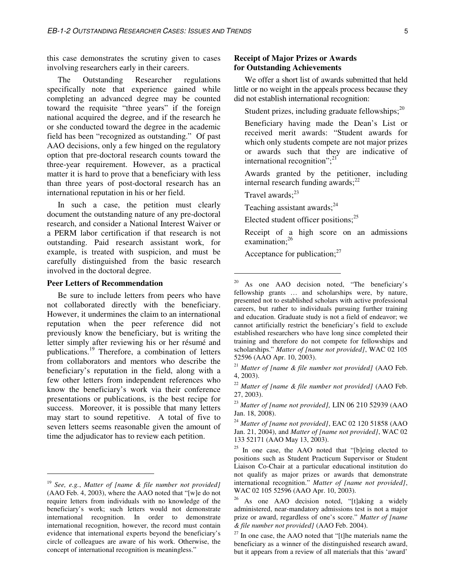this case demonstrates the scrutiny given to cases involving researchers early in their careers.

The Outstanding Researcher regulations specifically note that experience gained while completing an advanced degree may be counted toward the requisite "three years" if the foreign national acquired the degree, and if the research he or she conducted toward the degree in the academic field has been "recognized as outstanding." Of past AAO decisions, only a few hinged on the regulatory option that pre-doctoral research counts toward the three-year requirement. However, as a practical matter it is hard to prove that a beneficiary with less than three years of post-doctoral research has an international reputation in his or her field.

In such a case, the petition must clearly document the outstanding nature of any pre-doctoral research, and consider a National Interest Waiver or a PERM labor certification if that research is not outstanding. Paid research assistant work, for example, is treated with suspicion, and must be carefully distinguished from the basic research involved in the doctoral degree.

#### **Peer Letters of Recommendation**

Be sure to include letters from peers who have not collaborated directly with the beneficiary. However, it undermines the claim to an international reputation when the peer reference did not previously know the beneficiary, but is writing the letter simply after reviewing his or her résumé and publications.<sup>19</sup> Therefore, a combination of letters from collaborators and mentors who describe the beneficiary's reputation in the field, along with a few other letters from independent references who know the beneficiary's work via their conference presentations or publications, is the best recipe for success. Moreover, it is possible that many letters may start to sound repetitive. A total of five to seven letters seems reasonable given the amount of time the adjudicator has to review each petition.

 $\overline{a}$ 

## **Receipt of Major Prizes or Awards for Outstanding Achievements**

We offer a short list of awards submitted that held little or no weight in the appeals process because they did not establish international recognition:

Student prizes, including graduate fellowships; $^{20}$ 

 Beneficiary having made the Dean's List or received merit awards: "Student awards for which only students compete are not major prizes or awards such that they are indicative of international recognition"; $^{21}$ 

 Awards granted by the petitioner, including internal research funding awards; $^{22}$ 

Travel awards: $^{23}$ 

-

Teaching assistant awards; $^{24}$ 

Elected student officer positions; $^{25}$ 

 Receipt of a high score on an admissions examination;<sup>26</sup>

Acceptance for publication; $^{27}$ 

<sup>23</sup> *Matter of [name not provided],* LIN 06 210 52939 (AAO Jan. 18, 2008).

<sup>24</sup> *Matter of [name not provided]*, EAC 02 120 51858 (AAO Jan. 21, 2004), and *Matter of [name not provided]*, WAC 02 133 52171 (AAO May 13, 2003).

<sup>19</sup> *See, e.g.*, *Matter of [name & file number not provided]* (AAO Feb. 4, 2003), where the AAO noted that "[w]e do not require letters from individuals with no knowledge of the beneficiary's work; such letters would not demonstrate international recognition. In order to demonstrate international recognition, however, the record must contain evidence that international experts beyond the beneficiary's circle of colleagues are aware of his work. Otherwise, the concept of international recognition is meaningless."

 $20$  As one AAO decision noted, "The beneficiary's fellowship grants … and scholarships were, by nature, presented not to established scholars with active professional careers, but rather to individuals pursuing further training and education. Graduate study is not a field of endeavor; we cannot artificially restrict the beneficiary's field to exclude established researchers who have long since completed their training and therefore do not compete for fellowships and scholarships." *Matter of [name not provided]*, WAC 02 105 52596 (AAO Apr. 10, 2003).

<sup>21</sup> *Matter of [name & file number not provided]* (AAO Feb. 4, 2003).

<sup>22</sup> *Matter of [name & file number not provided]* (AAO Feb. 27, 2003).

<sup>&</sup>lt;sup>25</sup> In one case, the AAO noted that "[b]eing elected to positions such as Student Practicum Supervisor or Student Liaison Co-Chair at a particular educational institution do not qualify as major prizes or awards that demonstrate international recognition." *Matter of [name not provided]*, WAC 02 105 52596 (AAO Apr. 10, 2003).

 $26$  As one AAO decision noted, "[t]aking a widely administered, near-mandatory admissions test is not a major prize or award, regardless of one's score." *Matter of [name & file number not provided]* (AAO Feb. 2004).

 $27$  In one case, the AAO noted that "[t]he materials name the beneficiary as a winner of the distinguished research award, but it appears from a review of all materials that this 'award'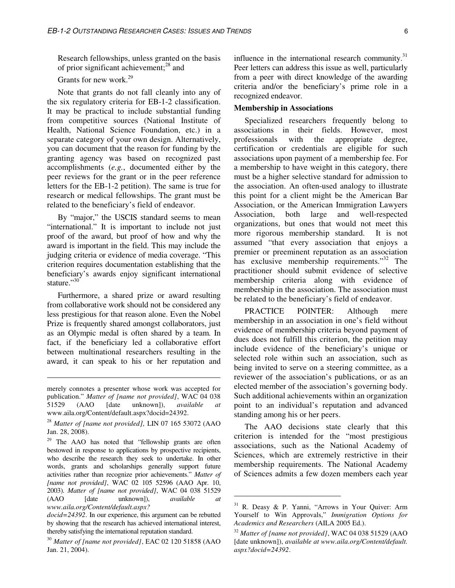Research fellowships, unless granted on the basis of prior significant achievement;<sup>28</sup> and

Grants for new work.<sup>29</sup>

Note that grants do not fall cleanly into any of the six regulatory criteria for EB-1-2 classification. It may be practical to include substantial funding from competitive sources (National Institute of Health, National Science Foundation, etc.) in a separate category of your own design. Alternatively, you can document that the reason for funding by the granting agency was based on recognized past accomplishments (*e.g.*, documented either by the peer reviews for the grant or in the peer reference letters for the EB-1-2 petition). The same is true for research or medical fellowships. The grant must be related to the beneficiary's field of endeavor.

By "major," the USCIS standard seems to mean "international." It is important to include not just proof of the award, but proof of how and why the award is important in the field. This may include the judging criteria or evidence of media coverage. "This criterion requires documentation establishing that the beneficiary's awards enjoy significant international stature."30

Furthermore, a shared prize or award resulting from collaborative work should not be considered any less prestigious for that reason alone. Even the Nobel Prize is frequently shared amongst collaborators, just as an Olympic medal is often shared by a team. In fact, if the beneficiary led a collaborative effort between multinational researchers resulting in the award, it can speak to his or her reputation and

 $\overline{a}$ 

<sup>29</sup> The AAO has noted that "fellowship grants are often bestowed in response to applications by prospective recipients, who describe the research they seek to undertake. In other words, grants and scholarships generally support future activities rather than recognize prior achievements." *Matter of [name not provided]*, WAC 02 105 52596 (AAO Apr. 10, 2003). *Matter of [name not provided]*, WAC 04 038 51529 (AAO [date unknown]), *available at www.aila.org/Content/default.aspx?* 

influence in the international research community. $31$ Peer letters can address this issue as well, particularly from a peer with direct knowledge of the awarding criteria and/or the beneficiary's prime role in a recognized endeavor.

#### **Membership in Associations**

 Specialized researchers frequently belong to associations in their fields. However, most professionals with the appropriate degree, certification or credentials are eligible for such associations upon payment of a membership fee. For a membership to have weight in this category, there must be a higher selective standard for admission to the association. An often-used analogy to illustrate this point for a client might be the American Bar Association, or the American Immigration Lawyers Association, both large and well-respected organizations, but ones that would not meet this more rigorous membership standard. It is not assumed "that every association that enjoys a premier or preeminent reputation as an association has exclusive membership requirements."<sup>32</sup> The practitioner should submit evidence of selective membership criteria along with evidence of membership in the association. The association must be related to the beneficiary's field of endeavor.

PRACTICE POINTER: Although mere membership in an association in one's field without evidence of membership criteria beyond payment of dues does not fulfill this criterion, the petition may include evidence of the beneficiary's unique or selected role within such an association, such as being invited to serve on a steering committee, as a reviewer of the association's publications, or as an elected member of the association's governing body. Such additional achievements within an organization point to an individual's reputation and advanced standing among his or her peers.

The AAO decisions state clearly that this criterion is intended for the "most prestigious associations, such as the National Academy of Sciences, which are extremely restrictive in their membership requirements. The National Academy of Sciences admits a few dozen members each year

merely connotes a presenter whose work was accepted for publication." *Matter of [name not provided]*, WAC 04 038 51529 (AAO [date unknown]), *available at* www.aila.org/Content/default.aspx?docid=24392.

<sup>28</sup> *Matter of [name not provided],* LIN 07 165 53072 (AAO Jan. 28, 2008).

*docid=24392*. In our experience, this argument can be rebutted by showing that the research has achieved international interest, thereby satisfying the international reputation standard.

<sup>30</sup> *Matter of [name not provided]*, EAC 02 120 51858 (AAO Jan. 21, 2004).

 $31$  R. Deasy & P. Yanni, "Arrows in Your Quiver: Arm Yourself to Win Approvals," *Immigration Options for Academics and Researchers* (AILA 2005 Ed.).

<sup>32</sup> *Matter of [name not provided]*, WAC 04 038 51529 (AAO [date unknown]), *available at www.aila.org/Content/default. aspx?docid=24392*.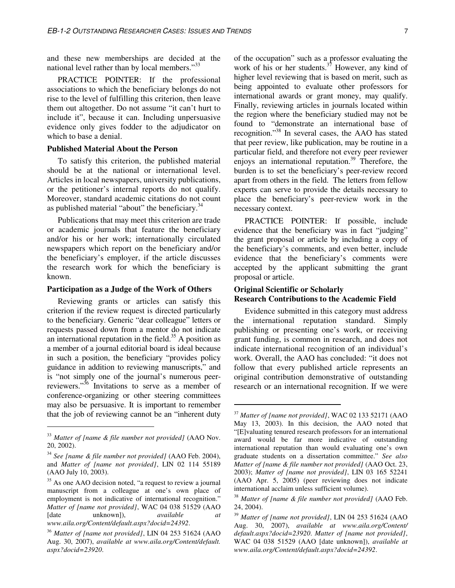and these new memberships are decided at the national level rather than by local members."<sup>33</sup>

 PRACTICE POINTER: If the professional associations to which the beneficiary belongs do not rise to the level of fulfilling this criterion, then leave them out altogether. Do not assume "it can't hurt to include it", because it can. Including unpersuasive evidence only gives fodder to the adjudicator on which to base a denial.

#### **Published Material About the Person**

To satisfy this criterion, the published material should be at the national or international level. Articles in local newspapers, university publications, or the petitioner's internal reports do not qualify. Moreover, standard academic citations do not count as published material "about" the beneficiary.<sup>34</sup>

Publications that may meet this criterion are trade or academic journals that feature the beneficiary and/or his or her work; internationally circulated newspapers which report on the beneficiary and/or the beneficiary's employer, if the article discusses the research work for which the beneficiary is known.

#### **Participation as a Judge of the Work of Others**

Reviewing grants or articles can satisfy this criterion if the review request is directed particularly to the beneficiary. Generic "dear colleague" letters or requests passed down from a mentor do not indicate an international reputation in the field.<sup>35</sup> A position as a member of a journal editorial board is ideal because in such a position, the beneficiary "provides policy guidance in addition to reviewing manuscripts," and is "not simply one of the journal's numerous peerreviewers."<sup>36</sup> Invitations to serve as a member of conference-organizing or other steering committees may also be persuasive. It is important to remember that the job of reviewing cannot be an "inherent duty

 $\overline{a}$ 

of the occupation" such as a professor evaluating the work of his or her students. $3^7$  However, any kind of higher level reviewing that is based on merit, such as being appointed to evaluate other professors for international awards or grant money, may qualify. Finally, reviewing articles in journals located within the region where the beneficiary studied may not be found to "demonstrate an international base of recognition."<sup>38</sup> In several cases, the AAO has stated that peer review, like publication, may be routine in a particular field, and therefore not every peer reviewer enjoys an international reputation.<sup>39</sup> Therefore, the burden is to set the beneficiary's peer-review record apart from others in the field. The letters from fellow experts can serve to provide the details necessary to place the beneficiary's peer-review work in the necessary context.

PRACTICE POINTER: If possible, include evidence that the beneficiary was in fact "judging" the grant proposal or article by including a copy of the beneficiary's comments, and even better, include evidence that the beneficiary's comments were accepted by the applicant submitting the grant proposal or article.

# **Original Scientific or Scholarly Research Contributions to the Academic Field**

Evidence submitted in this category must address the international reputation standard. Simply publishing or presenting one's work, or receiving grant funding, is common in research, and does not indicate international recognition of an individual's work. Overall, the AAO has concluded: "it does not follow that every published article represents an original contribution demonstrative of outstanding research or an international recognition. If we were

<u>.</u>

<sup>33</sup> *Matter of [name & file number not provided]* (AAO Nov. 20, 2002).

<sup>34</sup> *See [name & file number not provided]* (AAO Feb. 2004), and *Matter of [name not provided]*, LIN 02 114 55189 (AAO July 10, 2003).

<sup>&</sup>lt;sup>35</sup> As one AAO decision noted, "a request to review a journal manuscript from a colleague at one's own place of employment is not indicative of international recognition." *Matter of [name not provided]*, WAC 04 038 51529 (AAO [date unknown]), *available at www.aila.org/Content/default.aspx?docid=24392*.

<sup>36</sup> *Matter of [name not provided]*, LIN 04 253 51624 (AAO Aug. 30, 2007), *available at www.aila.org/Content/default. aspx?docid=23920*.

<sup>37</sup> *Matter of [name not provided]*, WAC 02 133 52171 (AAO May 13, 2003). In this decision, the AAO noted that "[E]valuating tenured research professors for an international award would be far more indicative of outstanding international reputation than would evaluating one's own graduate students on a dissertation committee." *See also Matter of [name & file number not provided]* (AAO Oct. 23, 2003); *Matter of [name not provided]*, LIN 03 165 52241 (AAO Apr. 5, 2005) (peer reviewing does not indicate international acclaim unless sufficient volume).

<sup>38</sup> *Matter of [name & file number not provided]* (AAO Feb. 24, 2004).

<sup>39</sup> *Matter of [name not provided]*, LIN 04 253 51624 (AAO Aug. 30, 2007), *available at www.aila.org/Content/ default.aspx?docid=23920*. *Matter of [name not provided]*, WAC 04 038 51529 (AAO [date unknown]), *available at www.aila.org/Content/default.aspx?docid=24392*.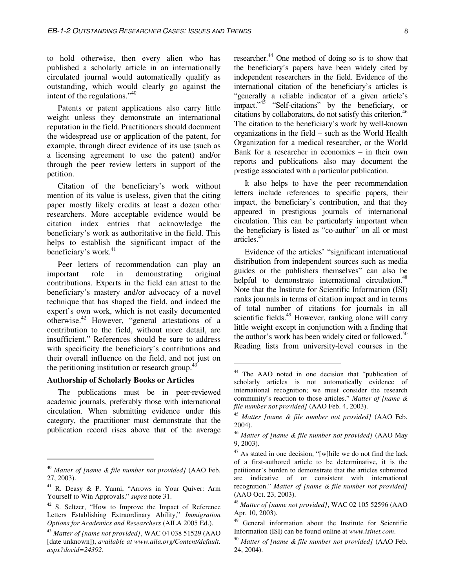to hold otherwise, then every alien who has published a scholarly article in an internationally circulated journal would automatically qualify as outstanding, which would clearly go against the intent of the regulations."<sup>40</sup>

Patents or patent applications also carry little weight unless they demonstrate an international reputation in the field. Practitioners should document the widespread use or application of the patent, for example, through direct evidence of its use (such as a licensing agreement to use the patent) and/or through the peer review letters in support of the petition.

Citation of the beneficiary's work without mention of its value is useless, given that the citing paper mostly likely credits at least a dozen other researchers. More acceptable evidence would be citation index entries that acknowledge the beneficiary's work as authoritative in the field. This helps to establish the significant impact of the beneficiary's work. $41$ 

Peer letters of recommendation can play an important role in demonstrating original contributions. Experts in the field can attest to the beneficiary's mastery and/or advocacy of a novel technique that has shaped the field, and indeed the expert's own work, which is not easily documented otherwise.<sup>42</sup> However, "general attestations of a contribution to the field, without more detail, are insufficient." References should be sure to address with specificity the beneficiary's contributions and their overall influence on the field, and not just on the petitioning institution or research group. $43$ 

# **Authorship of Scholarly Books or Articles**

 $\overline{a}$ 

The publications must be in peer-reviewed academic journals, preferably those with international circulation. When submitting evidence under this category, the practitioner must demonstrate that the publication record rises above that of the average

researcher.<sup>44</sup> One method of doing so is to show that the beneficiary's papers have been widely cited by independent researchers in the field. Evidence of the international citation of the beneficiary's articles is "generally a reliable indicator of a given article's impact."<sup>45</sup> "Self-citations" by the beneficiary, or citations by collaborators, do not satisfy this criterion.<sup>46</sup> The citation to the beneficiary's work by well-known organizations in the field – such as the World Health Organization for a medical researcher, or the World Bank for a researcher in economics – in their own reports and publications also may document the prestige associated with a particular publication.

It also helps to have the peer recommendation letters include references to specific papers, their impact, the beneficiary's contribution, and that they appeared in prestigious journals of international circulation. This can be particularly important when the beneficiary is listed as "co-author" on all or most articles.<sup>47</sup>

Evidence of the articles' "significant international distribution from independent sources such as media guides or the publishers themselves" can also be helpful to demonstrate international circulation. $48$ Note that the Institute for Scientific Information (ISI) ranks journals in terms of citation impact and in terms of total number of citations for journals in all scientific fields.<sup>49</sup> However, ranking alone will carry little weight except in conjunction with a finding that the author's work has been widely cited or followed.<sup>50</sup> Reading lists from university-level courses in the

<sup>40</sup> *Matter of [name & file number not provided]* (AAO Feb. 27, 2003).

<sup>41</sup> R. Deasy & P. Yanni, "Arrows in Your Quiver: Arm Yourself to Win Approvals," *supra* note 31.

<sup>42</sup> S. Seltzer, "How to Improve the Impact of Reference Letters Establishing Extraordinary Ability," *Immigration Options for Academics and Researchers* (AILA 2005 Ed.).

<sup>43</sup> *Matter of [name not provided]*, WAC 04 038 51529 (AAO [date unknown]), *available at www.aila.org/Content/default. aspx?docid=24392*.

<sup>44</sup> The AAO noted in one decision that "publication of scholarly articles is not automatically evidence of international recognition; we must consider the research community's reaction to those articles." *Matter of [name & file number not provided]* (AAO Feb. 4, 2003).

<sup>45</sup> *Matter [name & file number not provided]* (AAO Feb. 2004).

<sup>46</sup> *Matter of [name & file number not provided]* (AAO May 9, 2003).

 $47$  As stated in one decision, "[w] hile we do not find the lack of a first-authored article to be determinative, it is the petitioner's burden to demonstrate that the articles submitted are indicative of or consistent with international recognition." *Matter of [name & file number not provided]* (AAO Oct. 23, 2003).

<sup>48</sup> *Matter of [name not provided]*, WAC 02 105 52596 (AAO Apr. 10, 2003).

<sup>49</sup> General information about the Institute for Scientific Information (ISI) can be found online at *www.isinet.com*.

<sup>50</sup> *Matter of [name & file number not provided]* (AAO Feb. 24, 2004).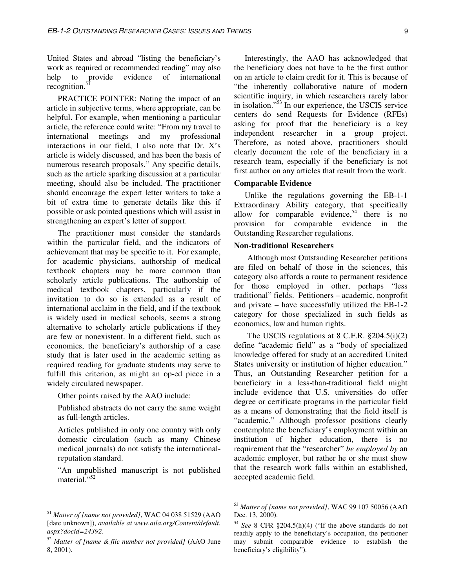United States and abroad "listing the beneficiary's work as required or recommended reading" may also help to provide evidence of international recognition.<sup>51</sup>

PRACTICE POINTER: Noting the impact of an article in subjective terms, where appropriate, can be helpful. For example, when mentioning a particular article, the reference could write: "From my travel to international meetings and my professional interactions in our field, I also note that Dr. X's article is widely discussed, and has been the basis of numerous research proposals." Any specific details, such as the article sparking discussion at a particular meeting, should also be included. The practitioner should encourage the expert letter writers to take a bit of extra time to generate details like this if possible or ask pointed questions which will assist in strengthening an expert's letter of support.

The practitioner must consider the standards within the particular field, and the indicators of achievement that may be specific to it. For example, for academic physicians, authorship of medical textbook chapters may be more common than scholarly article publications. The authorship of medical textbook chapters, particularly if the invitation to do so is extended as a result of international acclaim in the field, and if the textbook is widely used in medical schools, seems a strong alternative to scholarly article publications if they are few or nonexistent. In a different field, such as economics, the beneficiary's authorship of a case study that is later used in the academic setting as required reading for graduate students may serve to fulfill this criterion, as might an op-ed piece in a widely circulated newspaper.

Other points raised by the AAO include:

 Published abstracts do not carry the same weight as full-length articles.

 Articles published in only one country with only domestic circulation (such as many Chinese medical journals) do not satisfy the internationalreputation standard.

 "An unpublished manuscript is not published material."<sup>52</sup>

 $\overline{a}$ 

Interestingly, the AAO has acknowledged that the beneficiary does not have to be the first author on an article to claim credit for it. This is because of "the inherently collaborative nature of modern scientific inquiry, in which researchers rarely labor in isolation."<sup>53</sup> In our experience, the USCIS service centers do send Requests for Evidence (RFEs) asking for proof that the beneficiary is a key independent researcher in a group project. Therefore, as noted above, practitioners should clearly document the role of the beneficiary in a research team, especially if the beneficiary is not first author on any articles that result from the work.

## **Comparable Evidence**

Unlike the regulations governing the EB-1-1 Extraordinary Ability category, that specifically allow for comparable evidence,  $54$  there is no provision for comparable evidence in the Outstanding Researcher regulations.

#### **Non-traditional Researchers**

Although most Outstanding Researcher petitions are filed on behalf of those in the sciences, this category also affords a route to permanent residence for those employed in other, perhaps "less traditional" fields. Petitioners – academic, nonprofit and private – have successfully utilized the EB-1-2 category for those specialized in such fields as economics, law and human rights.

The USCIS regulations at 8 C.F.R. §204.5(i)(2) define "academic field" as a "body of specialized knowledge offered for study at an accredited United States university or institution of higher education." Thus, an Outstanding Researcher petition for a beneficiary in a less-than-traditional field might include evidence that U.S. universities do offer degree or certificate programs in the particular field as a means of demonstrating that the field itself is "academic." Although professor positions clearly contemplate the beneficiary's employment within an institution of higher education, there is no requirement that the "researcher" *be employed by* an academic employer, but rather he or she must show that the research work falls within an established, accepted academic field.

 $\ddot{\phantom{a}}$ 

<sup>51</sup> *Matter of [name not provided]*, WAC 04 038 51529 (AAO [date unknown]), *available at www.aila.org/Content/default. aspx?docid=24392*.

<sup>52</sup> *Matter of [name & file number not provided]* (AAO June 8, 2001).

<sup>53</sup> *Matter of [name not provided]*, WAC 99 107 50056 (AAO Dec. 13, 2000).

<sup>54</sup> *See* 8 CFR §204.5(h)(4) ("If the above standards do not readily apply to the beneficiary's occupation, the petitioner may submit comparable evidence to establish the beneficiary's eligibility").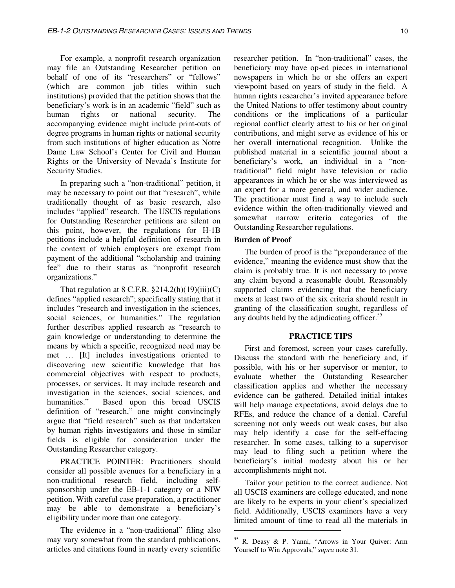For example, a nonprofit research organization may file an Outstanding Researcher petition on behalf of one of its "researchers" or "fellows" (which are common job titles within such institutions) provided that the petition shows that the beneficiary's work is in an academic "field" such as<br>human rights or national security. The rights or national security. The accompanying evidence might include print-outs of degree programs in human rights or national security from such institutions of higher education as Notre Dame Law School's Center for Civil and Human Rights or the University of Nevada's Institute for Security Studies.

In preparing such a "non-traditional" petition, it may be necessary to point out that "research", while traditionally thought of as basic research, also includes "applied" research. The USCIS regulations for Outstanding Researcher petitions are silent on this point, however, the regulations for H-1B petitions include a helpful definition of research in the context of which employers are exempt from payment of the additional "scholarship and training fee" due to their status as "nonprofit research organizations."

That regulation at  $8$  C.F.R.  $$214.2(h)(19)(iii)(C)$ defines "applied research"; specifically stating that it includes "research and investigation in the sciences, social sciences, or humanities." The regulation further describes applied research as "research to gain knowledge or understanding to determine the means by which a specific, recognized need may be met … [It] includes investigations oriented to discovering new scientific knowledge that has commercial objectives with respect to products, processes, or services. It may include research and investigation in the sciences, social sciences, and humanities." Based upon this broad USCIS definition of "research," one might convincingly argue that "field research" such as that undertaken by human rights investigators and those in similar fields is eligible for consideration under the Outstanding Researcher category.

PRACTICE POINTER: Practitioners should consider all possible avenues for a beneficiary in a non-traditional research field, including selfsponsorship under the EB-1-1 category or a NIW petition. With careful case preparation, a practitioner may be able to demonstrate a beneficiary's eligibility under more than one category.

The evidence in a "non-traditional" filing also may vary somewhat from the standard publications, articles and citations found in nearly every scientific researcher petition. In "non-traditional" cases, the beneficiary may have op-ed pieces in international newspapers in which he or she offers an expert viewpoint based on years of study in the field. A human rights researcher's invited appearance before the United Nations to offer testimony about country conditions or the implications of a particular regional conflict clearly attest to his or her original contributions, and might serve as evidence of his or her overall international recognition. Unlike the published material in a scientific journal about a beneficiary's work, an individual in a "nontraditional" field might have television or radio appearances in which he or she was interviewed as an expert for a more general, and wider audience. The practitioner must find a way to include such evidence within the often-traditionally viewed and somewhat narrow criteria categories of the Outstanding Researcher regulations.

#### **Burden of Proof**

 $\overline{a}$ 

The burden of proof is the "preponderance of the evidence," meaning the evidence must show that the claim is probably true. It is not necessary to prove any claim beyond a reasonable doubt. Reasonably supported claims evidencing that the beneficiary meets at least two of the six criteria should result in granting of the classification sought, regardless of any doubts held by the adjudicating officer.<sup>55</sup>

#### **PRACTICE TIPS**

First and foremost, screen your cases carefully. Discuss the standard with the beneficiary and, if possible, with his or her supervisor or mentor, to evaluate whether the Outstanding Researcher classification applies and whether the necessary evidence can be gathered. Detailed initial intakes will help manage expectations, avoid delays due to RFEs, and reduce the chance of a denial. Careful screening not only weeds out weak cases, but also may help identify a case for the self-effacing researcher. In some cases, talking to a supervisor may lead to filing such a petition where the beneficiary's initial modesty about his or her accomplishments might not.

Tailor your petition to the correct audience. Not all USCIS examiners are college educated, and none are likely to be experts in your client's specialized field. Additionally, USCIS examiners have a very limited amount of time to read all the materials in

<sup>55</sup> R. Deasy & P. Yanni, "Arrows in Your Quiver: Arm Yourself to Win Approvals," *supra* note 31.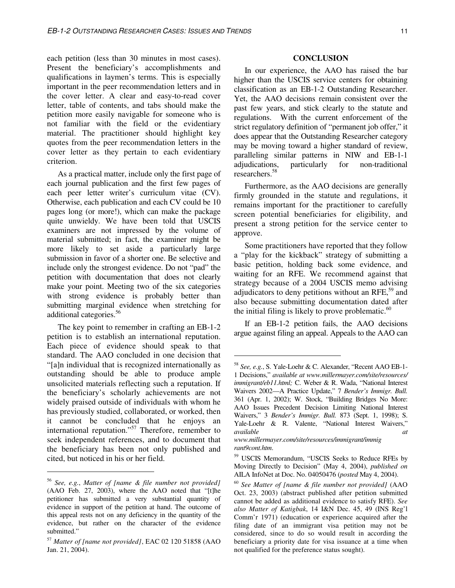each petition (less than 30 minutes in most cases). Present the beneficiary's accomplishments and qualifications in laymen's terms. This is especially important in the peer recommendation letters and in the cover letter. A clear and easy-to-read cover letter, table of contents, and tabs should make the petition more easily navigable for someone who is not familiar with the field or the evidentiary material. The practitioner should highlight key quotes from the peer recommendation letters in the cover letter as they pertain to each evidentiary criterion.

As a practical matter, include only the first page of each journal publication and the first few pages of each peer letter writer's curriculum vitae (CV). Otherwise, each publication and each CV could be 10 pages long (or more!), which can make the package quite unwieldy. We have been told that USCIS examiners are not impressed by the volume of material submitted; in fact, the examiner might be more likely to set aside a particularly large submission in favor of a shorter one. Be selective and include only the strongest evidence. Do not "pad" the petition with documentation that does not clearly make your point. Meeting two of the six categories with strong evidence is probably better than submitting marginal evidence when stretching for additional categories.<sup>56</sup>

The key point to remember in crafting an EB-1-2 petition is to establish an international reputation. Each piece of evidence should speak to that standard. The AAO concluded in one decision that "[a]n individual that is recognized internationally as outstanding should be able to produce ample unsolicited materials reflecting such a reputation. If the beneficiary's scholarly achievements are not widely praised outside of individuals with whom he has previously studied, collaborated, or worked, then it cannot be concluded that he enjoys an international reputation."<sup>57</sup> Therefore, remember to seek independent references, and to document that the beneficiary has been not only published and cited, but noticed in his or her field.

 $\overline{a}$ 

#### **CONCLUSION**

In our experience, the AAO has raised the bar higher than the USCIS service centers for obtaining classification as an EB-1-2 Outstanding Researcher. Yet, the AAO decisions remain consistent over the past few years, and stick clearly to the statute and regulations. With the current enforcement of the strict regulatory definition of "permanent job offer," it does appear that the Outstanding Researcher category may be moving toward a higher standard of review, paralleling similar patterns in NIW and EB-1-1 adjudications, particularly for non-traditional researchers.<sup>58</sup>

Furthermore, as the AAO decisions are generally firmly grounded in the statute and regulations, it remains important for the practitioner to carefully screen potential beneficiaries for eligibility, and present a strong petition for the service center to approve.

Some practitioners have reported that they follow a "play for the kickback" strategy of submitting a basic petition, holding back some evidence, and waiting for an RFE. We recommend against that strategy because of a 2004 USCIS memo advising adjudicators to deny petitions without an RFE $,59$  and also because submitting documentation dated after the initial filing is likely to prove problematic. $60$ 

If an EB-1-2 petition fails, the AAO decisions argue against filing an appeal. Appeals to the AAO can

 $\overline{a}$ 

<sup>56</sup> *See, e.g.*, *Matter of [name & file number not provided]* (AAO Feb. 27, 2003), where the AAO noted that "[t]he petitioner has submitted a very substantial quantity of evidence in support of the petition at hand. The outcome of this appeal rests not on any deficiency in the quantity of the evidence, but rather on the character of the evidence submitted."

<sup>57</sup> *Matter of [name not provided]*, EAC 02 120 51858 (AAO Jan. 21, 2004).

<sup>58</sup> *See, e.g.*, S. Yale-Loehr & C. Alexander, "Recent AAO EB-1- 1 Decisions," *available at www.millermayer.com/site/resources/ immigrant/eb11.html;* C. Weber & R. Wada, "National Interest Waivers 2002—A Practice Update," 7 *Bender's Immigr. Bull.*  361 (Apr. 1, 2002); W. Stock, "Building Bridges No More: AAO Issues Precedent Decision Limiting National Interest Waivers," 3 *Bender's Immigr. Bull.* 873 (Sept. 1, 1998); S. Yale-Loehr & R. Valente, "National Interest Waivers," *available at www.millermayer.com/site/resources/immigrant/immig* 

*rant9cont.htm*.

<sup>59</sup> USCIS Memorandum, "USCIS Seeks to Reduce RFEs by Moving Directly to Decision" (May 4, 2004), *published on*  AILA InfoNet at Doc. No. 04050476 (*posted* May 4, 2004).

<sup>60</sup> *See Matter of [name & file number not provided]* (AAO Oct. 23, 2003) (abstract published after petition submitted cannot be added as additional evidence to satisfy RFE). *See also Matter of Katigbak*, 14 I&N Dec. 45, 49 (INS Reg'l Comm'r 1971) (education or experience acquired after the filing date of an immigrant visa petition may not be considered, since to do so would result in according the beneficiary a priority date for visa issuance at a time when not qualified for the preference status sought).